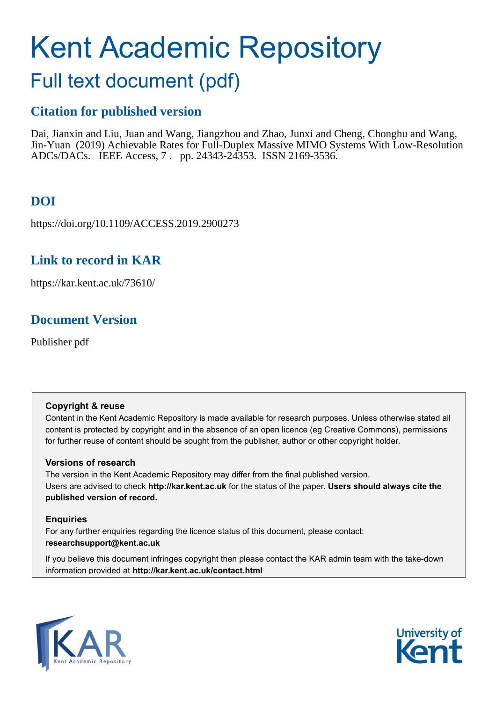# Kent Academic Repository

# Full text document (pdf)

### **Citation for published version**

Dai, Jianxin and Liu, Juan and Wang, Jiangzhou and Zhao, Junxi and Cheng, Chonghu and Wang, Jin-Yuan (2019) Achievable Rates for Full-Duplex Massive MIMO Systems With Low-Resolution ADCs/DACs. IEEE Access, 7 . pp. 24343-24353. ISSN 2169-3536.

# **DOI**

https://doi.org/10.1109/ACCESS.2019.2900273

### **Link to record in KAR**

https://kar.kent.ac.uk/73610/

## **Document Version**

Publisher pdf

#### **Copyright & reuse**

Content in the Kent Academic Repository is made available for research purposes. Unless otherwise stated all content is protected by copyright and in the absence of an open licence (eg Creative Commons), permissions for further reuse of content should be sought from the publisher, author or other copyright holder.

#### **Versions of research**

The version in the Kent Academic Repository may differ from the final published version. Users are advised to check **http://kar.kent.ac.uk** for the status of the paper. **Users should always cite the published version of record.**

#### **Enquiries**

For any further enquiries regarding the licence status of this document, please contact: **researchsupport@kent.ac.uk**

If you believe this document infringes copyright then please contact the KAR admin team with the take-down information provided at **http://kar.kent.ac.uk/contact.html**



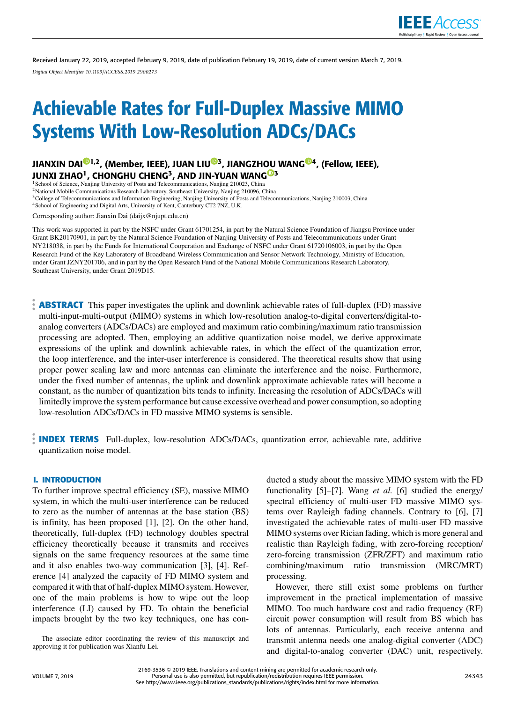

Received January 22, 2019, accepted February 9, 2019, date of publication February 19, 2019, date of current version March 7, 2019. *Digital Object Identifier 10.1109/ACCESS.2019.2900273*

# Achievable Rates for Full-Duplex Massive MIMO Systems With Low-Resolution ADCs/DACs

J[I](https://orcid.org/0000-0001-5735-4000)ANXIN DAI<sup>©1,2</sup>, (Member, IEEE), JUAN LIU<sup>©[3](https://orcid.org/0000-0002-5636-2049)</sup>, JIANGZH[OU](https://orcid.org/0000-0001-5745-4554) WAN[G](https://orcid.org/0000-0003-0881-3594)<sup>©4</sup>, (Fellow, IEEE), JUNXI ZHAO $^1$ , CHONGHU CHENG $^3$ , AND JIN-YUAN WANG $^{\text{\textregistered}}$ 3

<sup>1</sup> School of Science, Nanjing University of Posts and Telecommunications, Nanjing 210023, China

<sup>2</sup>National Mobile Communications Research Laboratory, Southeast University, Nanjing 210096, China

<sup>3</sup>College of Telecommunications and Information Engineering, Nanjing University of Posts and Telecommunications, Nanjing 210003, China

<sup>4</sup>School of Engineering and Digital Arts, University of Kent, Canterbury CT2 7NZ, U.K.

Corresponding author: Jianxin Dai (daijx@njupt.edu.cn)

This work was supported in part by the NSFC under Grant 61701254, in part by the Natural Science Foundation of Jiangsu Province under Grant BK20170901, in part by the Natural Science Foundation of Nanjing University of Posts and Telecommunications under Grant NY218038, in part by the Funds for International Cooperation and Exchange of NSFC under Grant 61720106003, in part by the Open Research Fund of the Key Laboratory of Broadband Wireless Communication and Sensor Network Technology, Ministry of Education, under Grant JZNY201706, and in part by the Open Research Fund of the National Mobile Communications Research Laboratory, Southeast University, under Grant 2019D15.

**ABSTRACT** This paper investigates the uplink and downlink achievable rates of full-duplex (FD) massive multi-input-multi-output (MIMO) systems in which low-resolution analog-to-digital converters/digital-toanalog converters (ADCs/DACs) are employed and maximum ratio combining/maximum ratio transmission processing are adopted. Then, employing an additive quantization noise model, we derive approximate expressions of the uplink and downlink achievable rates, in which the effect of the quantization error, the loop interference, and the inter-user interference is considered. The theoretical results show that using proper power scaling law and more antennas can eliminate the interference and the noise. Furthermore, under the fixed number of antennas, the uplink and downlink approximate achievable rates will become a constant, as the number of quantization bits tends to infinity. Increasing the resolution of ADCs/DACs will limitedly improve the system performance but cause excessive overhead and power consumption, so adopting low-resolution ADCs/DACs in FD massive MIMO systems is sensible.

**INDEX TERMS** Full-duplex, low-resolution ADCs/DACs, quantization error, achievable rate, additive quantization noise model.

#### **I. INTRODUCTION**

To further improve spectral efficiency (SE), massive MIMO system, in which the multi-user interference can be reduced to zero as the number of antennas at the base station (BS) is infinity, has been proposed [1], [2]. On the other hand, theoretically, full-duplex (FD) technology doubles spectral efficiency theoretically because it transmits and receives signals on the same frequency resources at the same time and it also enables two-way communication [3], [4]. Reference [4] analyzed the capacity of FD MIMO system and compared it with that of half-duplex MIMO system. However, one of the main problems is how to wipe out the loop interference (LI) caused by FD. To obtain the beneficial impacts brought by the two key techniques, one has con-

The associate editor coordinating the review of this manuscript and approving it for publication was Xianfu Lei.

ducted a study about the massive MIMO system with the FD functionality [5]–[7]. Wang *et al.* [6] studied the energy/ spectral efficiency of multi-user FD massive MIMO systems over Rayleigh fading channels. Contrary to [6], [7] investigated the achievable rates of multi-user FD massive MIMO systems over Rician fading, which is more general and realistic than Rayleigh fading, with zero-forcing reception/ zero-forcing transmission (ZFR/ZFT) and maximum ratio combining/maximum ratio transmission (MRC/MRT) processing.

However, there still exist some problems on further improvement in the practical implementation of massive MIMO. Too much hardware cost and radio frequency (RF) circuit power consumption will result from BS which has lots of antennas. Particularly, each receive antenna and transmit antenna needs one analog-digital converter (ADC) and digital-to-analog converter (DAC) unit, respectively.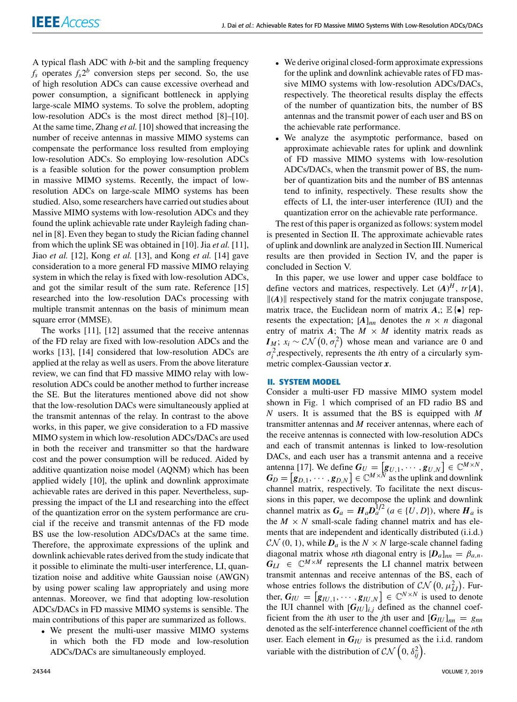A typical flash ADC with *b*-bit and the sampling frequency  $f_s$  operates  $f_s 2^b$  conversion steps per second. So, the use of high resolution ADCs can cause excessive overhead and power consumption, a significant bottleneck in applying large-scale MIMO systems. To solve the problem, adopting low-resolution ADCs is the most direct method [8]–[10]. At the same time, Zhang *et al.* [10] showed that increasing the number of receive antennas in massive MIMO systems can compensate the performance loss resulted from employing low-resolution ADCs. So employing low-resolution ADCs is a feasible solution for the power consumption problem in massive MIMO systems. Recently, the impact of lowresolution ADCs on large-scale MIMO systems has been studied. Also, some researchers have carried out studies about Massive MIMO systems with low-resolution ADCs and they found the uplink achievable rate under Rayleigh fading channel in [8]. Even they began to study the Rician fading channel from which the uplink SE was obtained in [10]. Jia *et al.* [11], Jiao *et al.* [12], Kong *et al.* [13], and Kong *et al.* [14] gave consideration to a more general FD massive MIMO relaying system in which the relay is fixed with low-resolution ADCs, and got the similar result of the sum rate. Reference [15] researched into the low-resolution DACs processing with multiple transmit antennas on the basis of minimum mean square error (MMSE).

<span id="page-2-4"></span><span id="page-2-3"></span><span id="page-2-0"></span>The works [11], [12] assumed that the receive antennas of the FD relay are fixed with low-resolution ADCs and the works [13], [14] considered that low-resolution ADCs are applied at the relay as well as users. From the above literature review, we can find that FD massive MIMO relay with lowresolution ADCs could be another method to further increase the SE. But the literatures mentioned above did not show that the low-resolution DACs were simultaneously applied at the transmit antennas of the relay. In contrast to the above works, in this paper, we give consideration to a FD massive MIMO system in which low-resolution ADCs/DACs are used in both the receiver and transmitter so that the hardware cost and the power consumption will be reduced. Aided by additive quantization noise model (AQNM) which has been applied widely [10], the uplink and downlink approximate achievable rates are derived in this paper. Nevertheless, suppressing the impact of the LI and researching into the effect of the quantization error on the system performance are crucial if the receive and transmit antennas of the FD mode BS use the low-resolution ADCs/DACs at the same time. Therefore, the approximate expressions of the uplink and downlink achievable rates derived from the study indicate that it possible to eliminate the multi-user interference, LI, quantization noise and additive white Gaussian noise (AWGN) by using power scaling law appropriately and using more antennas. Moreover, we find that adopting low-resolution ADCs/DACs in FD massive MIMO systems is sensible. The main contributions of this paper are summarized as follows.

<span id="page-2-2"></span>• We present the multi-user massive MIMO systems in which both the FD mode and low-resolution ADCs/DACs are simultaneously employed.

- We derive original closed-form approximate expressions for the uplink and downlink achievable rates of FD massive MIMO systems with low-resolution ADCs/DACs, respectively. The theoretical results display the effects of the number of quantization bits, the number of BS antennas and the transmit power of each user and BS on the achievable rate performance.
- We analyze the asymptotic performance, based on approximate achievable rates for uplink and downlink of FD massive MIMO systems with low-resolution ADCs/DACs, when the transmit power of BS, the number of quantization bits and the number of BS antennas tend to infinity, respectively. These results show the effects of LI, the inter-user interference (IUI) and the quantization error on the achievable rate performance.

The rest of this paper is organized as follows: system model is presented in Section II. The approximate achievable rates of uplink and downlink are analyzed in Section III. Numerical results are then provided in Section IV, and the paper is concluded in Section V.

In this paper, we use lower and upper case boldface to define vectors and matrices, respectively. Let  $(A)^H$ ,  $tr\{A\}$ ,  $\|A\|$  respectively stand for the matrix conjugate transpose, matrix trace, the Euclidean norm of matrix  $A$ ,;  $\mathbb{E}\{\bullet\}$  represents the expectation;  $[A]_{nn}$  denotes the  $n \times n$  diagonal entry of matrix  $A$ ; The  $M \times M$  identity matrix reads as *I*<sub>*M*</sub>;  $x_i \sim \mathcal{CN}(0, \sigma_i^2)$  whose mean and variance are 0 and  $\sigma_i^2$ , respectively, represents the *i*th entry of a circularly symmetric complex-Gaussian vector *x*.

#### **II. SYSTEM MODEL**

<span id="page-2-1"></span>Consider a multi-user FD massive MIMO system model shown in Fig. [1](#page-2-0) which comprised of an FD radio BS and *N* users. It is assumed that the BS is equipped with *M* transmitter antennas and *M* receiver antennas, where each of the receive antennas is connected with low-resolution ADCs and each of transmit antennas is linked to low-resolution DACs, and each user has a transmit antenna and a receive antenna [17]. We define  $G_U = [g_{U,1}, \cdots, g_{U,N}] \in \mathbb{C}^{M \times N}$ ,  $G_D = [g_{D,1}, \cdots, g_{D,N}] \in \mathbb{C}^{M \times N}$  as the uplink and downlink channel matrix, respectively. To facilitate the next discussions in this paper, we decompose the uplink and downlink channel matrix as  $G_a = H_a D_a^{1/2}$  ( $a \in \{U, D\}$ ), where  $H_a$  is the  $M \times N$  small-scale fading channel matrix and has elements that are independent and identically distributed  $(i.i.d.)$  $CN(0, 1)$ , while  $D_a$  is the  $N \times N$  large-scale channel fading diagonal matrix whose *n*th diagonal entry is  $[D_a]_{nn} = \beta_{a,n}$ .  $G_{LI} \in \mathbb{C}^{M \times M}$  represents the LI channel matrix between transmit antennas and receive antennas of the BS, each of whose entries follows the distribution of  $CN(0, \mu_{LI}^2)$ . Further,  $G_{IU} = [g_{IU,1}, \cdots, g_{IU,N}] \in \mathbb{C}^{N \times N}$  is used to denote the IUI channel with  $[G_{IU}]_{i,j}$  defined as the channel coefficient from the *i*th user to the *j*th user and  $[G_{IU}]_{nn} = g_{nn}$ denoted as the self-interference channel coefficient of the *n*th user. Each element in *GIU* is presumed as the i.i.d. random variable with the distribution of  $\mathcal{CN}\left(0, \delta_{ij}^2\right)$ .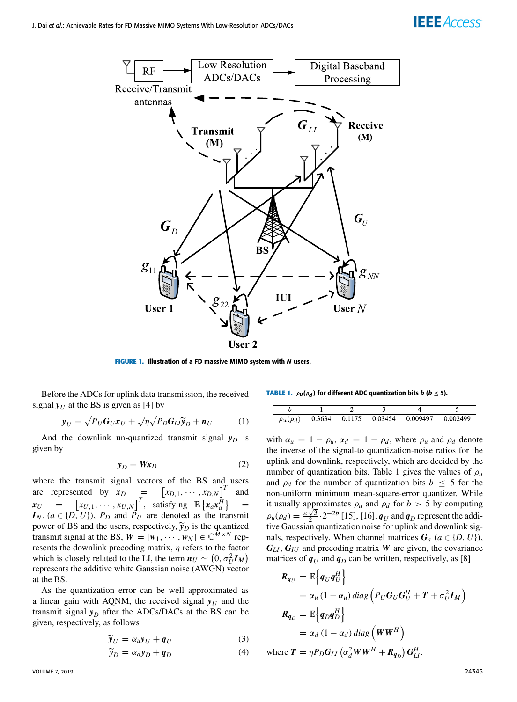<span id="page-3-7"></span>



<span id="page-3-0"></span>**FIGURE 1. Illustration of a FD massive MIMO system with N users.** 

Before the ADCs for uplink data transmission, the received signal  $y_U$  at the BS is given as [4] by

$$
\mathbf{y}_U = \sqrt{P_U} \mathbf{G}_U \mathbf{x}_U + \sqrt{\eta} \sqrt{P_D} \mathbf{G}_L \widetilde{\mathbf{y}}_D + \mathbf{n}_U \tag{1}
$$

And the downlink un-quantized transmit signal  $y_D$  is given by

<span id="page-3-1"></span>
$$
y_D = W x_D \tag{2}
$$

<span id="page-3-2"></span>where the transmit signal vectors of the BS and users are represented by  $x_D =$  $\begin{bmatrix} x_{D,1}, \cdots, x_{D,N} \end{bmatrix}^T$  and  $x_{U}$  =  $[x_{U,1}, \dots, x_{U,N}]^T$ , satisfying  $\mathbb{E} \{x_a x_a^{\tilde{H}}\}$ =  $I_N$ ,  $(a \in \{D, U\})$ ,  $P_D$  and  $P_U$  are denoted as the transmit power of BS and the users, respectively,  $\widetilde{\mathbf{y}}_D$  is the quantized transmit signal at the BS,  $W = [w_1, \dots, w_N] \in \mathbb{C}^{M \times N}$  represents the downlink precoding matrix,  $\eta$  refers to the factor which is closely related to the LI, the term  $n_U \sim (0, \sigma_U^2 I_M)$ represents the additive white Gaussian noise (AWGN) vector at the BS.

As the quantization error can be well approximated as a linear gain with AQNM, the received signal  $y_U$  and the transmit signal  $y_D$  after the ADCs/DACs at the BS can be given, respectively, as follows

$$
\widetilde{\mathbf{y}}_U = \alpha_u \mathbf{y}_U + \mathbf{q}_U \tag{3}
$$

$$
\widetilde{\mathbf{y}}_D = \alpha_d \mathbf{y}_D + \mathbf{q}_D \tag{4}
$$

<span id="page-3-3"></span>**TABLE** 1.  $\rho_{\boldsymbol{u}}(\rho_{\boldsymbol{d}})$  for different ADC quantization bits  $\boldsymbol{b}$  ( $\boldsymbol{b} \leq$  5).

| $\rho_u(\rho_d)$ | 0.3634 | 0.1175 | 0.03454 | 0.009497 | 0.002499 |
|------------------|--------|--------|---------|----------|----------|

<span id="page-3-6"></span>with  $\alpha_u = 1 - \rho_u$ ,  $\alpha_d = 1 - \rho_d$ , where  $\rho_u$  and  $\rho_d$  denote the inverse of the signal-to quantization-noise ratios for the uplink and downlink, respectively, which are decided by the number of quantization bits. Table [1](#page-2-1) gives the values of  $\rho_u$ and  $\rho_d$  for the number of quantization bits  $b \leq 5$  for the non-uniform minimum mean-square-error quantizer. While it usually approximates  $\rho_u$  and  $\rho_d$  for  $b > 5$  by computing  $\rho_u(\rho_d) = \frac{\pi\sqrt{3}}{2} \cdot 2^{-2b}$  [15], [16]. *q<sub>U</sub>* and *q<sub>D</sub>* represent the additive Gaussian quantization noise for uplink and downlink signals, respectively. When channel matrices  $G_a$  ( $a \in \{D, U\}$ ), *GLI* , *GIU* and precoding matrix *W* are given, the covariance matrices of  $q_U$  and  $q_D$  can be written, respectively, as [8]

<span id="page-3-5"></span><span id="page-3-4"></span>
$$
R_{q_U} = \mathbb{E}\Big\{q_U q_U^H\Big\}
$$
  
=  $\alpha_u (1 - \alpha_u) \text{ diag}\Big(P_U G_U G_U^H + T + \sigma_U^2 I_M\Big)$   
 $R_{q_D} = \mathbb{E}\Big\{q_D q_D^H\Big\}$   
=  $\alpha_d (1 - \alpha_d) \text{ diag}\Big(WW^H\Big)$   
where  $T = \eta P_D G_{LI} (\alpha_d^2 WW^H + R_{q_D}) G_{LI}^H$ .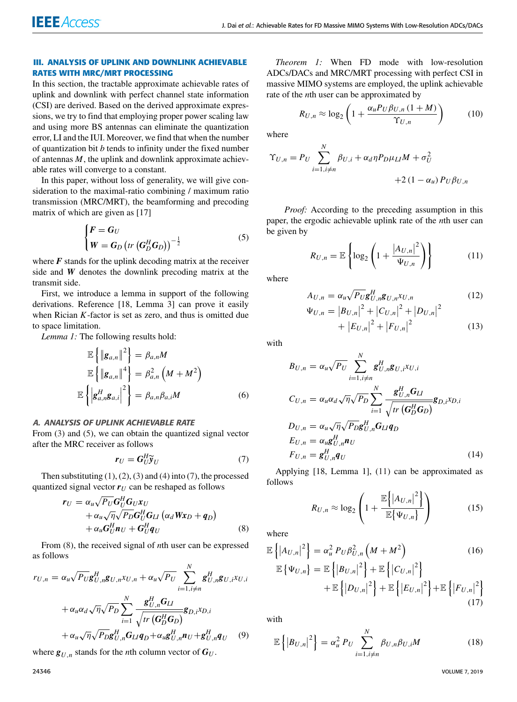#### **III. ANALYSIS OF UPLINK AND DOWNLINK ACHIEVABLE RATES WITH MRC/MRT PROCESSING**

In this section, the tractable approximate achievable rates of uplink and downlink with perfect channel state information (CSI) are derived. Based on the derived approximate expressions, we try to find that employing proper power scaling law and using more BS antennas can eliminate the quantization error, LI and the IUI. Moreover, we find that when the number of quantization bit *b* tends to infinity under the fixed number of antennas *M*, the uplink and downlink approximate achievable rates will converge to a constant.

In this paper, without loss of generality, we will give consideration to the maximal-ratio combining / maximum ratio transmission (MRC/MRT), the beamforming and precoding matrix of which are given as [17]

$$
\begin{cases}\nF = G_U \\
W = G_D \left( tr \left( G_D^H G_D \right) \right)^{-\frac{1}{2}}\n\end{cases}
$$
\n(5)

where  $\vec{F}$  stands for the uplink decoding matrix at the receiver side and *W* denotes the downlink precoding matrix at the transmit side.

First, we introduce a lemma in support of the following derivations. Reference [18, Lemma 3] can prove it easily when Rician *K*-factor is set as zero, and thus is omitted due to space limitation.

<span id="page-4-0"></span>*Lemma 1:* The following results hold:

$$
\mathbb{E}\left\{\left\|\mathbf{g}_{a,n}\right\|^2\right\} = \beta_{a,n}M
$$
\n
$$
\mathbb{E}\left\{\left\|\mathbf{g}_{a,n}\right\|^4\right\} = \beta_{a,n}^2\left(M + M^2\right)
$$
\n
$$
\mathbb{E}\left\{\left|\mathbf{g}_{a,n}^H\mathbf{g}_{a,i}\right|^2\right\} = \beta_{a,n}\beta_{a,i}M
$$
\n(6)

#### A. ANALYSIS OF UPLINK ACHIEVABLE RATE

From [\(3\)](#page-2-2) and [\(5\)](#page-3-0), we can obtain the quantized signal vector after the MRC receiver as follows

$$
\boldsymbol{r}_U = \boldsymbol{G}_U^H \widetilde{\boldsymbol{y}}_U \tag{7}
$$

Then substituting  $(1)$ ,  $(2)$ ,  $(3)$  and  $(4)$  into  $(7)$ , the processed quantized signal vector  $r_U$  can be reshaped as follows

$$
\mathbf{r}_U = \alpha_u \sqrt{P_U} \mathbf{G}_U^H \mathbf{G}_U \mathbf{x}_U + \alpha_u \sqrt{\eta} \sqrt{P_D} \mathbf{G}_U^H \mathbf{G}_U (\alpha_d W \mathbf{x}_D + \mathbf{q}_D) + \alpha_u \mathbf{G}_U^H \mathbf{n}_U + \mathbf{G}_U^H \mathbf{q}_U
$$
\n(8)

<span id="page-4-1"></span>From [\(8\)](#page-3-2), the received signal of *n*th user can be expressed as follows

$$
r_{U,n} = \alpha_u \sqrt{P_U} \mathbf{g}_{U,n}^H \mathbf{g}_{U,n} x_{U,n} + \alpha_u \sqrt{P_U} \sum_{i=1, i \neq n}^N \mathbf{g}_{U,n}^H \mathbf{g}_{U,i} x_{U,i}
$$

$$
+ \alpha_u \alpha_d \sqrt{\eta} \sqrt{P_D} \sum_{i=1}^N \frac{\mathbf{g}_{U,n}^H \mathbf{G}_{LI}}{\sqrt{tr(\mathbf{G}_D^H \mathbf{G}_D)}} \mathbf{g}_{D,i} x_{D,i}
$$

$$
+ \alpha_u \sqrt{\eta} \sqrt{P_D} \mathbf{g}_{U,n}^H \mathbf{G}_{LI} \mathbf{q}_D + \alpha_u \mathbf{g}_{U,n}^H \mathbf{n}_U + \mathbf{g}_{U,n}^H \mathbf{q}_U \qquad (9)
$$

where  $g_{U,n}$  stands for the *n*th column vector of  $G_U$ .

*Theorem 1:* When FD mode with low-resolution ADCs/DACs and MRC/MRT processing with perfect CSI in massive MIMO systems are employed, the uplink achievable rate of the *n*th user can be approximated by

$$
R_{U,n} \approx \log_2\left(1 + \frac{\alpha_u P_U \beta_{U,n} (1+M)}{\Upsilon_{U,n}}\right) \tag{10}
$$

where

<span id="page-4-2"></span>
$$
\Upsilon_{U,n} = P_U \sum_{i=1, i \neq n}^{N} \beta_{U,i} + \alpha_d \eta P_D \mu_L M + \sigma_U^2
$$
  
+2(1 - \alpha\_u) P\_U \beta\_{U,n}

*Proof:* According to the preceding assumption in this paper, the ergodic achievable uplink rate of the *n*th user can be given by

$$
R_{U,n} = \mathbb{E}\left\{\log_2\left(1 + \frac{|A_{U,n}|^2}{\Psi_{U,n}}\right)\right\} \tag{11}
$$

where

$$
A_{U,n} = \alpha_u \sqrt{P_U} \mathbf{g}_{U,n}^H \mathbf{g}_{U,n} x_{U,n}
$$
\n
$$
\Psi_{U,n} = |B_{U,n}|^2 + |C_{U,n}|^2 + |D_{U,n}|^2
$$
\n
$$
+ |E_{U,n}|^2 + |F_{U,n}|^2
$$
\n(13)

<span id="page-4-3"></span>with

$$
B_{U,n} = \alpha_u \sqrt{P_U} \sum_{i=1, i \neq n}^{N} g_{U,n}^H g_{U,i} x_{U,i}
$$
  
\n
$$
C_{U,n} = \alpha_u \alpha_d \sqrt{\eta} \sqrt{P_D} \sum_{i=1}^{N} \frac{g_{U,n}^H G_{LI}}{\sqrt{tr(G_D^H G_D)}} g_{D,i} x_{D,i}
$$
  
\n
$$
D_{U,n} = \alpha_u \sqrt{\eta} \sqrt{P_D} g_{U,n}^H G_{LI} q_D
$$
  
\n
$$
E_{U,n} = \alpha_u g_{U,n}^H n_U
$$
  
\n
$$
F_{U,n} = g_{U,n}^H q_U
$$
\n(14)

<span id="page-4-4"></span>Applying [18, Lemma 1], [\(11\)](#page-3-3) can be approximated as follows

$$
R_{U,n} \approx \log_2\left(1 + \frac{\mathbb{E}\left\{|A_{U,n}|^2\right\}}{\mathbb{E}\left\{\Psi_{U,n}\right\}}\right) \tag{15}
$$

<span id="page-4-5"></span>where

$$
\mathbb{E}\left\{|A_{U,n}|^2\right\} = \alpha_u^2 P_U \beta_{U,n}^2 \left(M + M^2\right) \tag{16}
$$
\n
$$
\mathbb{E}\left\{\Psi_{U,n}\right\} = \mathbb{E}\left\{|B_{U,n}|^2\right\} + \mathbb{E}\left\{|C_{U,n}|^2\right\} + \mathbb{E}\left\{|E_{U,n}|^2\right\} + \mathbb{E}\left\{|F_{U,n}|^2\right\} \tag{17}
$$

with

$$
\mathbb{E}\left\{\left|B_{U,n}\right|^2\right\} = \alpha_u^2 P_U \sum_{i=1, i \neq n}^N \beta_{U,n} \beta_{U,i} M \tag{18}
$$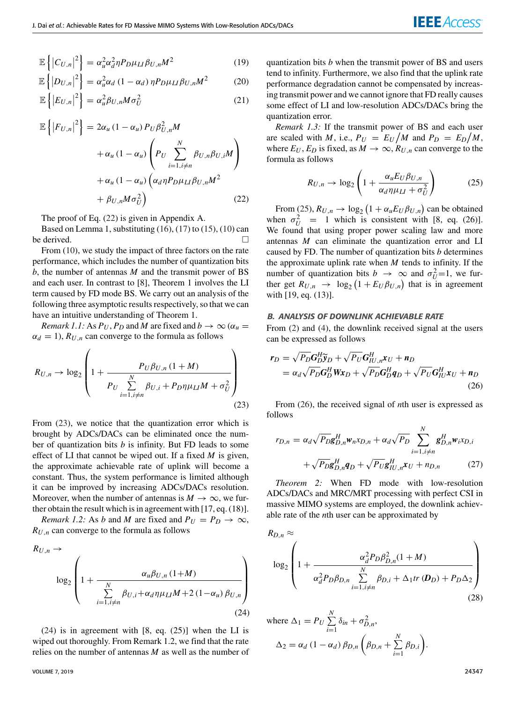$$
\mathbb{E}\left\{|C_{U,n}|^2\right\} = \alpha_u^2 \alpha_d^2 \eta P_D \mu_{LI} \beta_{U,n} M^2 \tag{19}
$$

$$
\mathbb{E}\left\{|D_{U,n}|^2\right\} = \alpha_u^2 \alpha_d \left(1 - \alpha_d\right) \eta P_D \mu_{LI} \beta_{U,n} M^2 \tag{20}
$$

$$
\mathbb{E}\left\{|E_{U,n}|^2\right\} = \alpha_u^2 \beta_{U,n} M \sigma_U^2 \tag{21}
$$

$$
\mathbb{E}\left\{|F_{U,n}|^2\right\} = 2\alpha_u (1 - \alpha_u) P_U \beta_{U,n}^2 M
$$
  
+  $\alpha_u (1 - \alpha_u) \left(P_U \sum_{i=1, i \neq n}^N \beta_{U,n} \beta_{U,i} M\right)$   
+  $\alpha_u (1 - \alpha_u) \left(\alpha_d \eta P_D \mu_{LI} \beta_{U,n} M^2\right)$   
+  $\beta_{U,n} M \sigma_U^2$  (22)

The proof of Eq. [\(22\)](#page-3-4) is given in Appendix A.

Based on Lemma 1, substituting  $(16)$ ,  $(17)$  to  $(15)$ ,  $(10)$  can be derived.

From [\(10\)](#page-3-7), we study the impact of three factors on the rate performance, which includes the number of quantization bits *b*, the number of antennas *M* and the transmit power of BS and each user. In contrast to [8], Theorem 1 involves the LI term caused by FD mode BS. We carry out an analysis of the following three asymptotic results respectively, so that we can have an intuitive understanding of Theorem 1.

<span id="page-5-0"></span>*Remark 1.1:* As  $P_U$ ,  $P_D$  and *M* are fixed and  $b \to \infty$  ( $\alpha_u$  =  $\alpha_d = 1$ ,  $R_{U,n}$  can converge to the formula as follows

 $\overline{1}$ 

$$
R_{U,n} \to \log_2\left(1 + \frac{P_U\beta_{U,n}(1+M)}{P_U\sum\limits_{i=1,i\neq n}^N \beta_{U,i} + P_D\eta\mu_{LI}M + \sigma_U^2}\right)
$$
\n(23)

<span id="page-5-3"></span>From [\(23\)](#page-4-0), we notice that the quantization error which is brought by ADCs/DACs can be eliminated once the number of quantization bits *b* is infinity. But FD leads to some effect of LI that cannot be wiped out. If a fixed *M* is given, the approximate achievable rate of uplink will become a constant. Thus, the system performance is limited although it can be improved by increasing ADCs/DACs resolution. Moreover, when the number of antennas is  $M \to \infty$ , we further obtain the result which is in agreement with [17, eq. (18)].

<span id="page-5-1"></span>*Remark 1.2:* As *b* and *M* are fixed and  $P_U = P_D \rightarrow \infty$ ,  $R_{U,n}$  can converge to the formula as follows

$$
R_{U,n} \rightarrow \log_2\left(1 + \frac{\alpha_u \beta_{U,n} (1+M)}{\sum\limits_{i=1, i \neq n}^N \beta_{U,i} + \alpha_d \eta \mu_L M + 2 (1-\alpha_u) \beta_{U,n}}\right)
$$
\n(24)

<span id="page-5-2"></span> $(24)$  is in agreement with [8, eq.  $(25)$ ] when the LI is wiped out thoroughly. From Remark 1.2, we find that the rate relies on the number of antennas *M* as well as the number of

quantization bits *b* when the transmit power of BS and users tend to infinity. Furthermore, we also find that the uplink rate performance degradation cannot be compensated by increasing transmit power and we cannot ignore that FD really causes some effect of LI and low-resolution ADCs/DACs bring the quantization error.

*Remark 1.3:* If the transmit power of BS and each user are scaled with *M*, i.e.,  $P_U = E_U/M$  and  $P_D = E_D/M$ , where  $E_U$ ,  $E_D$  is fixed, as  $M \to \infty$ ,  $R_{U,n}$  can converge to the formula as follows

$$
R_{U,n} \to \log_2 \left( 1 + \frac{\alpha_u E_U \beta_{U,n}}{\alpha_d \eta \mu_U + \sigma_U^2} \right) \tag{25}
$$

<span id="page-5-6"></span>From [\(25\)](#page-4-2),  $R_{U,n} \to \log_2 \left(1 + \alpha_u E_U \beta_{U,n}\right)$  can be obtained when  $\sigma_U^2 = 1$  which is consistent with [8, eq. (26)]. We found that using proper power scaling law and more antennas *M* can eliminate the quantization error and LI caused by FD. The number of quantization bits *b* determines the approximate uplink rate when *M* tends to infinity. If the number of quantization bits *b*  $\rightarrow \infty$  and  $\sigma_U^2 = 1$ , we further get  $R_{U,n} \rightarrow \log_2(1 + E_U \beta_{U,n})$  that is in agreement with [19, eq. (13)].

#### B. ANALYSIS OF DOWNLINK ACHIEVABLE RATE

From [\(2\)](#page-2-4) and [\(4\)](#page-2-2), the downlink received signal at the users can be expressed as follows

$$
\mathbf{r}_D = \sqrt{P_D} \mathbf{G}_D^H \widetilde{\mathbf{y}}_D + \sqrt{P_U} \mathbf{G}_{IU,n}^H \mathbf{x}_U + \mathbf{n}_D
$$
  
=  $\alpha_d \sqrt{P_D} \mathbf{G}_D^H \mathbf{W} \mathbf{x}_D + \sqrt{P_D} \mathbf{G}_D^H \mathbf{q}_D + \sqrt{P_U} \mathbf{G}_{IU}^H \mathbf{x}_U + \mathbf{n}_D$  (26)

From [\(26\)](#page-4-3), the received signal of *n*th user is expressed as follows

<span id="page-5-4"></span>
$$
r_{D,n} = \alpha_d \sqrt{P_D} \mathbf{g}_{D,n}^H \mathbf{w}_n x_{D,n} + \alpha_d \sqrt{P_D} \sum_{i=1, i \neq n}^N \mathbf{g}_{D,n}^H \mathbf{w}_i x_{D,i}
$$
  
+  $\sqrt{P_D} \mathbf{g}_{D,n}^H \mathbf{q}_D + \sqrt{P_U} \mathbf{g}_{IU,n}^H \mathbf{x}_U + n_{D,n}$  (27)

*Theorem 2:* When FD mode with low-resolution ADCs/DACs and MRC/MRT processing with perfect CSI in massive MIMO systems are employed, the downlink achievable rate of the *n*th user can be approximated by

$$
R_{D,n} \approx \log_2 \left( 1 + \frac{\alpha_d^2 P_D \beta_{D,n}^2 (1 + M)}{\alpha_d^2 P_D \beta_{D,n} \sum_{i=1, i \neq n}^N \beta_{D,i} + \Delta_1 tr(\mathbf{D}_D) + P_D \Delta_2} \right)
$$
(28)

<span id="page-5-5"></span>where 
$$
\Delta_1 = P_U \sum_{i=1}^N \delta_{in} + \sigma_{D,n}^2
$$
,  
\n
$$
\Delta_2 = \alpha_d (1 - \alpha_d) \beta_{D,n} \left( \beta_{D,n} + \sum_{i=1}^N \beta_{D,i} \right).
$$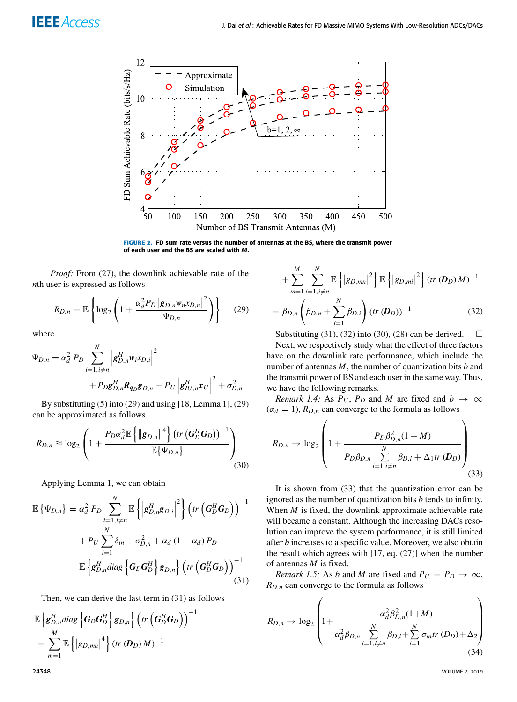

<span id="page-6-1"></span>**FIGURE 2.** FD sum rate versus the number of antennas at the BS, where the transmit power of each user and the BS are scaled with M.

*Proof:* From [\(27\)](#page-4-4), the downlink achievable rate of the *n*th user is expressed as follows

$$
R_{D,n} = \mathbb{E}\left\{\log_2\left(1 + \frac{\alpha_d^2 P_D \left|g_{D,n} w_{n} x_{D,n}\right|^2}{\Psi_{D,n}}\right)\right\} \tag{29}
$$

where

$$
\Psi_{D,n} = \alpha_d^2 P_D \sum_{i=1, i \neq n}^{N} \left| g_{D,n}^H w_i x_{D,i} \right|^2
$$
  
+  $P_D g_{D,n}^H R_{q_D} g_{D,n} + P_U \left| g_{IU,n}^H x_U \right|^2 + \sigma_{D,n}^2$ 

By substituting [\(5\)](#page-3-0) into [\(29\)](#page-5-0) and using [18, Lemma 1], [\(29\)](#page-5-0) can be approximated as follows

$$
R_{D,n} \approx \log_2\left(1 + \frac{P_D \alpha_d^2 \mathbb{E}\left\{\|\mathbf{g}_{D,n}\|^4\right\} \left(tr\left(\mathbf{G}_D^H \mathbf{G}_D\right)\right)^{-1}}{\mathbb{E}\left\{\Psi_{D,n}\right\}}\right)
$$
(30)

<span id="page-6-2"></span>Applying Lemma 1, we can obtain

$$
\mathbb{E}\left\{\Psi_{D,n}\right\} = \alpha_d^2 P_D \sum_{i=1, i \neq n}^{N} \mathbb{E}\left\{\left|g_{D,n}^H g_{D,i}\right|^2\right\} \left(tr\left(G_D^H G_D\right)\right)^{-1} + P_U \sum_{i=1}^{N} \delta_{in} + \sigma_{D,n}^2 + \alpha_d (1 - \alpha_d) P_D \mathbb{E}\left\{g_{D,n}^H diag\left\{G_D G_D^H\right\} g_{D,n}\right\} \left(tr\left(G_D^H G_D\right)\right)^{-1}
$$
\n(31)

Then, we can derive the last term in [\(31\)](#page-5-1) as follows

<span id="page-6-0"></span>
$$
\mathbb{E}\left\{\mathbf{g}_{D,n}^{H}diag\left\{\mathbf{G}_{D}\mathbf{G}_{D}^{H}\right\}\mathbf{g}_{D,n}\right\}\left(tr\left(\mathbf{G}_{D}^{H}\mathbf{G}_{D}\right)\right)^{-1} \n= \sum_{m=1}^{M}\mathbb{E}\left\{\left|g_{D,mn}\right|^{4}\right\}(tr(\mathbf{D}_{D})M)^{-1}
$$

$$
+\sum_{m=1}^{M}\sum_{i=1,i\neq n}^{N}\mathbb{E}\left\{|g_{D,mn}|^{2}\right\}\mathbb{E}\left\{|g_{D,mi}|^{2}\right\}(tr(\mathbf{D}_{D})M)^{-1}
$$

$$
=\beta_{D,n}\left(\beta_{D,n}+\sum_{i=1}^{N}\beta_{D,i}\right)(tr(\mathbf{D}_{D}))^{-1}
$$
(32)

Substituting [\(31\)](#page-5-1), [\(32\)](#page-5-2) into [\(30\)](#page-5-3), [\(28\)](#page-4-5) can be derived.  $\square$ Next, we respectively study what the effect of three factors have on the downlink rate performance, which include the number of antennas *M*, the number of quantization bits *b* and the transmit power of BS and each user in the same way. Thus, we have the following remarks.

*Remark 1.4:* As  $P_U$ ,  $P_D$  and *M* are fixed and  $b \rightarrow \infty$  $(\alpha_d = 1)$ ,  $R_{D,n}$  can converge to the formula as follows

$$
R_{D,n} \to \log_2\left(1 + \frac{P_D \beta_{D,n}^2 (1+M)}{P_D \beta_{D,n} \sum\limits_{i=1, i \neq n}^N \beta_{D,i} + \Delta_1 tr(\boldsymbol{D}_D)}\right)
$$
(33)

It is shown from [\(33\)](#page-5-4) that the quantization error can be ignored as the number of quantization bits *b* tends to infinity. When *M* is fixed, the downlink approximate achievable rate will became a constant. Although the increasing DACs resolution can improve the system performance, it is still limited after *b* increases to a specific value. Moreover, we also obtain the result which agrees with [17, eq. (27)] when the number of antennas *M* is fixed.

*Remark 1.5:* As *b* and *M* are fixed and  $P_U = P_D \rightarrow \infty$ ,  $R_{D,n}$  can converge to the formula as follows

$$
R_{D,n} \to \log_2 \left( 1 + \frac{\alpha_d^2 \beta_{D,n}^2 (1+M)}{\alpha_d^2 \beta_{D,n} \sum_{i=1, i \neq n}^N \beta_{D,i} + \sum_{i=1}^N \sigma_{in} tr \left( D_D \right) + \Delta_2} \right)
$$
(34)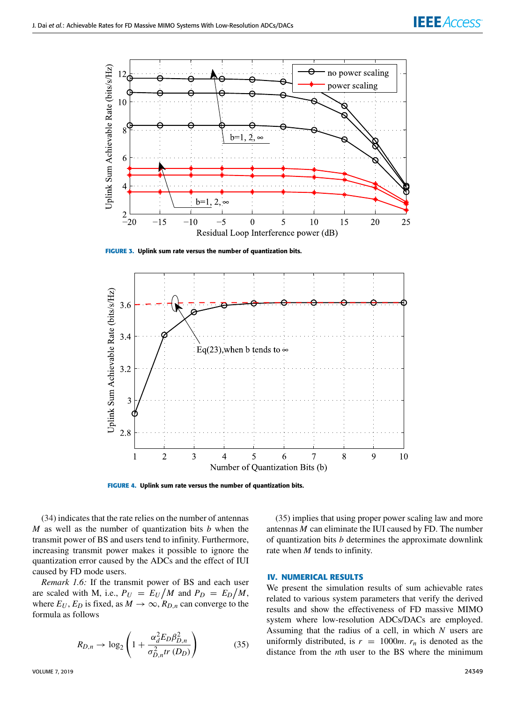

<span id="page-7-0"></span>**FIGURE 3.** Uplink sum rate versus the number of quantization bits.



**FIGURE 4.** Uplink sum rate versus the number of quantization bits.

[\(34\)](#page-5-5) indicates that the rate relies on the number of antennas *M* as well as the number of quantization bits *b* when the transmit power of BS and users tend to infinity. Furthermore, increasing transmit power makes it possible to ignore the quantization error caused by the ADCs and the effect of IUI caused by FD mode users.

*Remark 1.6:* If the transmit power of BS and each user are scaled with M, i.e.,  $P_U = E_U/M$  and  $P_D = E_D/M$ , where  $E_U$ ,  $E_D$  is fixed, as  $M \to \infty$ ,  $R_{D,n}$  can converge to the formula as follows

$$
R_{D,n} \to \log_2\left(1 + \frac{\alpha_d^2 E_D \beta_{D,n}^2}{\sigma_{D,n}^2 tr(D_D)}\right) \tag{35}
$$

[\(35\)](#page-6-0) implies that using proper power scaling law and more antennas *M* can eliminate the IUI caused by FD. The number of quantization bits *b* determines the approximate downlink rate when *M* tends to infinity.

#### **IV. NUMERICAL RESULTS**

We present the simulation results of sum achievable rates related to various system parameters that verify the derived results and show the effectiveness of FD massive MIMO system where low-resolution ADCs/DACs are employed. Assuming that the radius of a cell, in which *N* users are uniformly distributed, is  $r = 1000m$ .  $r<sub>n</sub>$  is denoted as the distance from the *n*th user to the BS where the minimum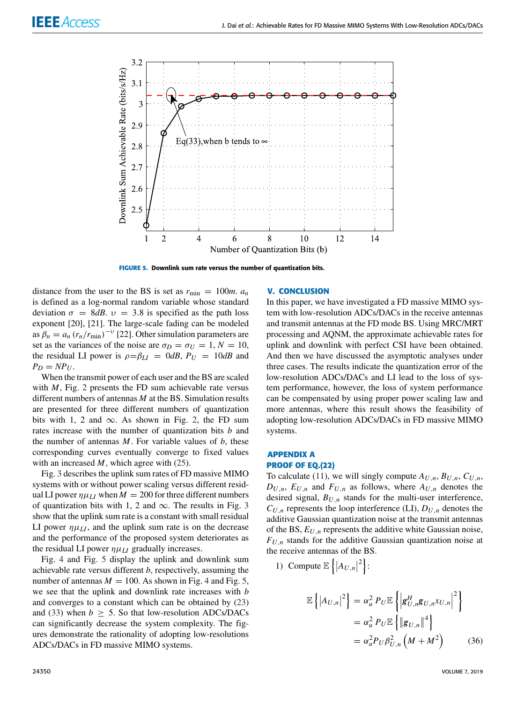<span id="page-8-0"></span>

**FIGURE 5.** Downlink sum rate versus the number of quantization bits.

distance from the user to the BS is set as  $r_{\text{min}} = 100m$ .  $a_n$ is defined as a log-normal random variable whose standard deviation  $\sigma = 8$ *dB*.  $v = 3.8$  is specified as the path loss exponent [20], [21]. The large-scale fading can be modeled as  $\beta_n = a_n (r_n/r_{\text{min}})^{-\nu}$  [22]. Other simulation parameters are set as the variances of the noise are  $\sigma_D = \sigma_U = 1, N = 10$ , the residual LI power is  $\rho = \beta_{LI} = 0 dB$ ,  $P_{U} = 10 dB$  and  $P_D = NP_U$ .

When the transmit power of each user and the BS are scaled with *M*, Fig. [2](#page-5-6) presents the FD sum achievable rate versus different numbers of antennas *M* at the BS. Simulation results are presented for three different numbers of quantization bits with 1, 2 and  $\infty$ . As shown in Fig. [2,](#page-5-6) the FD sum rates increase with the number of quantization bits *b* and the number of antennas *M*. For variable values of *b*, these corresponding curves eventually converge to fixed values with an increased *M*, which agree with [\(25\)](#page-4-2).

<span id="page-8-2"></span>Fig. [3](#page-6-1) describes the uplink sum rates of FD massive MIMO systems with or without power scaling versus different residual LI power  $\eta \mu_{LI}$  when  $M = 200$  for three different numbers of quantization bits with 1, 2 and  $\infty$ . The results in Fig. [3](#page-6-1) show that the uplink sum rate is a constant with small residual LI power  $\eta \mu_{LI}$ , and the uplink sum rate is on the decrease and the performance of the proposed system deteriorates as the residual LI power  $\eta \mu_{LI}$  gradually increases.

Fig. [4](#page-6-2) and Fig. [5](#page-7-0) display the uplink and downlink sum achievable rate versus different *b*, respectively, assuming the number of antennas  $M = 100$ . As shown in Fig. [4](#page-6-2) and Fig. [5,](#page-7-0) we see that the uplink and downlink rate increases with *b* and converges to a constant which can be obtained by [\(23\)](#page-4-0) and [\(33\)](#page-5-4) when  $b > 5$ . So that low-resolution ADCs/DACs can significantly decrease the system complexity. The figures demonstrate the rationality of adopting low-resolutions ADCs/DACs in FD massive MIMO systems.

#### <span id="page-8-1"></span>**V. CONCLUSION**

<span id="page-8-3"></span>In this paper, we have investigated a FD massive MIMO system with low-resolution ADCs/DACs in the receive antennas and transmit antennas at the FD mode BS. Using MRC/MRT processing and AQNM, the approximate achievable rates for uplink and downlink with perfect CSI have been obtained. And then we have discussed the asymptotic analyses under three cases. The results indicate the quantization error of the low-resolution ADCs/DACs and LI lead to the loss of system performance, however, the loss of system performance can be compensated by using proper power scaling law and more antennas, where this result shows the feasibility of adopting low-resolution ADCs/DACs in FD massive MIMO systems.

#### <span id="page-8-4"></span>**APPENDIX A PROOF OF EQ.(22)**

To calculate [\(11\)](#page-3-3), we will singly compute  $A_{U,n}$ ,  $B_{U,n}$ ,  $C_{U,n}$ ,  $D_{U,n}$ ,  $E_{U,n}$  and  $F_{U,n}$  as follows, where  $A_{U,n}$  denotes the desired signal, *BU*,*<sup>n</sup>* stands for the multi-user interference,  $C_{U,n}$  represents the loop interference (LI),  $D_{U,n}$  denotes the additive Gaussian quantization noise at the transmit antennas of the BS, *EU*,*<sup>n</sup>* represents the additive white Gaussian noise,  $F_{U,n}$  stands for the additive Gaussian quantization noise at the receive antennas of the BS.

1) Compute  $\mathbb{E}\left\{\left|A_{U,n}\right|^{2}\right\}$ :

$$
\mathbb{E}\left\{|A_{U,n}|^2\right\} = \alpha_u^2 P_U \mathbb{E}\left\{\left|g_{U,n}^H g_{U,n} x_{U,n}\right|^2\right\}
$$

$$
= \alpha_u^2 P_U \mathbb{E}\left\{\left\|g_{U,n}\right\|^4\right\}
$$

$$
= \alpha_u^2 P_U \beta_{U,n}^2 \left(M + M^2\right) \tag{36}
$$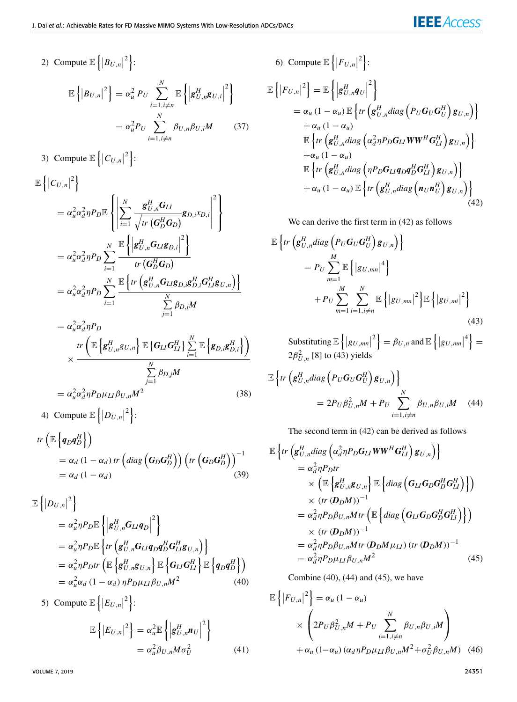2) Compute  $\mathbb{E}\left\{\left|B_{U,n}\right|^2\right\}$ :  $\mathbb{E}\left\{\left|B_{U,n}\right|^{2}\right\}=\alpha_{u}^{2}$   $P_{U}\sum_{i=1}^{N}$  $i=1, i \neq n$  $\mathbb{E}\left\{\left|\mathbf{g}_{U,n}^{H}\mathbf{g}_{U,i}\right|$  $2<sub>1</sub>$  $= \alpha_u^2 P_U \sum_{i=1}^N$  $i=1, i \neq n$  $\beta_{U,n}\beta_{U,i}M$  (37) 3) Compute  $\mathbb{E}\left\{\left|C_{U,n}\right|^2\right\}$ :  $\mathbb{E}\left\{\left|C_{U,n}\right|^{2}\right\}$  $= \alpha_u^2 \alpha_d^2 \eta P_D \mathbb{E}$  $\sqrt{ }$  $\mathbf{I}$  $\mathsf{l}$  X *N i*=1  $\boldsymbol{g}_{U,n}^{H}\boldsymbol{G}_{LI}$  $\frac{dE_{U,n} - E}{\sqrt{tr\left(\bm{G}_D^H\bm{G}_D\right)}}$ g $D, i^X D, i$   $2<sub>1</sub>$  $\mathsf{l}$  $\mathbf{I}$ 

$$
= \alpha_u^2 \alpha_d^2 \eta P_D \sum_{i=1}^N \frac{\mathbb{E}\left\{ \left| \mathbf{g}_{U,n}^H \mathbf{G}_{LI} \mathbf{g}_{D,i} \right|^2 \right\}}{tr\left( \mathbf{G}_D^H \mathbf{G}_D \right)}
$$
  

$$
= \alpha_u^2 \alpha_d^2 \eta P_D \sum_{i=1}^N \frac{\mathbb{E}\left\{ tr\left( \mathbf{g}_{U,n}^H \mathbf{G}_{LI} \mathbf{g}_{D,i} \mathbf{g}_{D,i}^H \mathbf{G}_{LI}^H \mathbf{g}_{U,n} \right) \right\}}{\sum_{j=1}^N \beta_{D,j} M}
$$
  

$$
= \alpha_u^2 \alpha_d^2 \eta P_D
$$

$$
\times \frac{tr\left(\mathbb{E}\left\{g_{U,n}^{H}g_{U,n}\right\}\mathbb{E}\left\{G_{LI}G_{LI}^{H}\right\}\sum_{i=1}^{N}\mathbb{E}\left\{g_{D,i}g_{D,i}^{H}\right\}\right)}{\sum_{j=1}^{N}\beta_{D,j}M}
$$
\n
$$
=\alpha_{u}^{2}\alpha_{d}^{2}\eta P_{D}\mu_{LI}\beta_{U,n}M^{2}
$$
\n(38)

4) Compute 
$$
\mathbb{E}\left\{|D_{U,n}|^2\right\}
$$
:

$$
tr\left(\mathbb{E}\left\{q_D q_D^H\right\}\right)
$$
  
=  $\alpha_d (1 - \alpha_d) tr\left(diag\left(G_D G_D^H\right)\right) \left(tr\left(G_D G_D^H\right)\right)^{-1}$   
=  $\alpha_d (1 - \alpha_d)$  (39)

$$
\mathbb{E}\left\{|D_{U,n}|^2\right\} \n= \alpha_u^2 \eta P_D \mathbb{E}\left\{\left|g_{U,n}^H G_{LI} q_D\right|^2\right\} \n= \alpha_u^2 \eta P_D \mathbb{E}\left\{tr\left(g_{U,n}^H G_{LI} q_D q_D^H G_{LI}^H g_{U,n}\right)\right\} \n= \alpha_u^2 \eta P_D tr\left(\mathbb{E}\left\{g_{U,n}^H g_{U,n}\right\} \mathbb{E}\left\{G_{LI} G_{LI}^H\right\} \mathbb{E}\left\{q_D q_D^H\right\}\right) \n= \alpha_u^2 \alpha_d (1 - \alpha_d) \eta P_D \mu_{LI} \beta_{U,n} M^2
$$
\n(40)

5) Compute  $\mathbb{E}\left\{\left|E_{U,n}\right|^2\right\}$ :  $\mathbb{E}\left\{\left|\bm{E}_{U,n}\right|^{2}\right\}=\alpha_{u}^{2}\mathbb{E}\left\{\left|\bm{g}_{U,n}^{H}\bm{n}_{U}\right|\right\}$  $2<sub>1</sub>$  $= \alpha_u^2 \beta_{U,n} M \sigma_U^2$ (41)

VOLUME 7, 2019 24351

6) Compute 
$$
\mathbb{E}\left\{|F_{U,n}|^2\right\}
$$
:  
\n
$$
\mathbb{E}\left\{|F_{U,n}|^2\right\} = \mathbb{E}\left\{|g_{U,n}^H q_U|^2\right\}
$$
\n
$$
= \alpha_u (1 - \alpha_u) \mathbb{E}\left\{tr\left(g_{U,n}^H diag\left(P_U G_U G_U^H\right) g_{U,n}\right)\right\}
$$
\n
$$
+ \alpha_u (1 - \alpha_u)
$$
\n
$$
\mathbb{E}\left\{tr\left(g_{U,n}^H diag\left(\alpha_d^2 \eta P_D G_{LI} W W^H G_{LI}^H\right) g_{U,n}\right)\right\}
$$
\n
$$
+ \alpha_u (1 - \alpha_u)
$$
\n
$$
\mathbb{E}\left\{tr\left(g_{U,n}^H diag\left(\eta P_D G_{LI} q_D q_D^H G_{LI}^H\right) g_{U,n}\right)\right\}
$$
\n
$$
+ \alpha_u (1 - \alpha_u) \mathbb{E}\left\{tr\left(g_{U,n}^H diag\left(n_U n_U^H\right) g_{U,n}\right)\right\}
$$
\n(42)

We can derive the first term in [\(42\)](#page-8-0) as follows

$$
\mathbb{E}\left\{tr\left(\mathbf{g}_{U,n}^{H}diag\left(P_{U}\mathbf{G}_{U}\mathbf{G}_{U}^{H}\right)\mathbf{g}_{U,n}\right)\right\}= P_{U}\sum_{m=1}^{M}\mathbb{E}\left\{|g_{U,mn}|^{4}\right\}+ P_{U}\sum_{m=1}^{M}\sum_{i=1,i\neq n}^{N}\mathbb{E}\left\{|g_{U,mn}|^{2}\right\}\mathbb{E}\left\{|g_{U,mi}|^{2}\right\}
$$
(43)

Substituting 
$$
\mathbb{E}\left\{ |g_{U,mn}|^2 \right\} = \beta_{U,n}
$$
 and  $\mathbb{E}\left\{ |g_{U,mn}|^4 \right\} = 2\beta_{U,n}^2$  [8] to (43) yields

$$
\mathbb{E}\left\{tr\left(\mathbf{g}_{U,n}^{H}diag\left(P_{U}\mathbf{G}_{U}\mathbf{G}_{U}^{H}\right)\mathbf{g}_{U,n}\right)\right\}
$$

$$
=2P_{U}\beta_{U,n}^{2}M+P_{U}\sum_{i=1,i\neq n}^{N}\beta_{U,n}\beta_{U,i}M\quad(44)
$$

The second term in [\(42\)](#page-8-0) can be derived as follows

$$
\mathbb{E}\left\{tr\left(\mathbf{g}_{U,n}^{H}diag\left(\alpha_{d}^{2}\eta P_{D}\mathbf{G}_{LI}WW^{H}\mathbf{G}_{LI}^{H}\right)\mathbf{g}_{U,n}\right)\right\}\n=\alpha_{d}^{2}\eta P_{D}tr\n\times\left(\mathbb{E}\left\{\mathbf{g}_{U,n}^{H}\mathbf{g}_{U,n}\right\}\mathbb{E}\left\{diag\left(\mathbf{G}_{LI}\mathbf{G}_{D}\mathbf{G}_{D}^{H}\mathbf{G}_{LI}^{H}\right)\right\}\right)\n\times\left(tr\left(\mathbf{D}_{D}M\right)\right)^{-1}\n=\alpha_{d}^{2}\eta P_{D}\beta_{U,n}Mr\left(\mathbb{E}\left\{diag\left(\mathbf{G}_{LI}\mathbf{G}_{D}\mathbf{G}_{D}^{H}\mathbf{G}_{LI}^{H}\right)\right\}\right)\n\times\left(tr\left(\mathbf{D}_{D}M\right)\right)^{-1}\n=\alpha_{d}^{2}\eta P_{D}\beta_{U,n}Mtr\left(\mathbf{D}_{D}M\mu_{LI}\right)\left(tr\left(\mathbf{D}_{D}M\right)\right)^{-1}\n=\alpha_{d}^{2}\eta P_{D}\mu_{LI}\beta_{U,n}M^{2}
$$
\n(45)

Combine [\(40\)](#page-8-2), [\(44\)](#page-8-3) and [\(45\)](#page-8-4), we have

$$
\mathbb{E}\left\{|F_{U,n}|^2\right\} = \alpha_u (1 - \alpha_u)
$$
  
 
$$
\times \left(2P_U \beta_{U,n}^2 M + P_U \sum_{i=1, i \neq n}^N \beta_{U,n} \beta_{U,i} M\right)
$$
  
 
$$
+ \alpha_u (1 - \alpha_u) (\alpha_d \eta P_D \mu_L \beta_{U,n} M^2 + \sigma_U^2 \beta_{U,n} M) \quad (46)
$$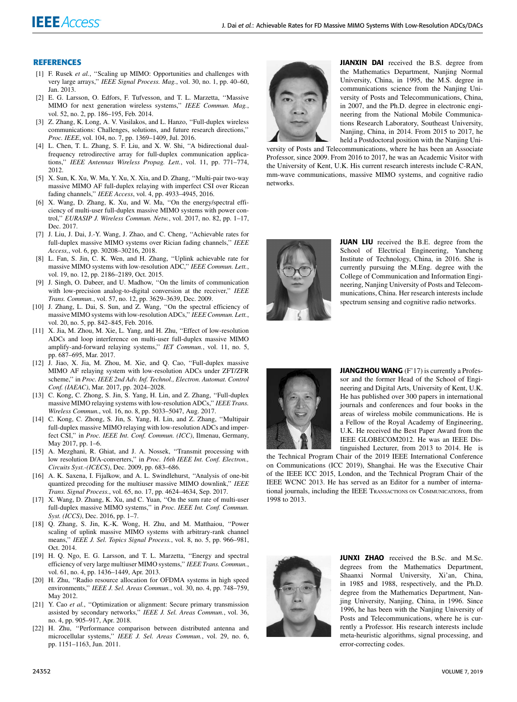#### **REFERENCES**

- [1] F. Rusek et al., "Scaling up MIMO: Opportunities and challenges with very large arrays,'' *IEEE Signal Process. Mag.*, vol. 30, no. 1, pp. 40–60, Jan. 2013.
- [2] E. G. Larsson, O. Edfors, F. Tufvesson, and T. L. Marzetta, ''Massive MIMO for next generation wireless systems,'' *IEEE Commun. Mag.*, vol. 52, no. 2, pp. 186–195, Feb. 2014.
- [3] Z. Zhang, K. Long, A. V. Vasilakos, and L. Hanzo, ''Full-duplex wireless communications: Challenges, solutions, and future research directions,'' *Proc. IEEE*, vol. 104, no. 7, pp. 1369–1409, Jul. 2016.
- [4] L. Chen, T. L. Zhang, S. F. Liu, and X. W. Shi, ''A bidirectional dualfrequency retrodirective array for full-duplex communication applications,'' *IEEE Antennas Wireless Propag. Lett.*, vol. 11, pp. 771–774, 2012.
- [5] X. Sun, K. Xu, W. Ma, Y. Xu, X. Xia, and D. Zhang, ''Multi-pair two-way massive MIMO AF full-duplex relaying with imperfect CSI over Ricean fading channels,'' *IEEE Access*, vol. 4, pp. 4933–4945, 2016.
- [6] X. Wang, D. Zhang, K. Xu, and W. Ma, ''On the energy/spectral efficiency of multi-user full-duplex massive MIMO systems with power control,'' *EURASIP J. Wireless Commun. Netw.*, vol. 2017, no. 82, pp. 1–17, Dec. 2017.
- [7] J. Liu, J. Dai, J.-Y. Wang, J. Zhao, and C. Cheng, ''Achievable rates for full-duplex massive MIMO systems over Rician fading channels,'' *IEEE Access,*, vol. 6, pp. 30208–30216, 2018.
- [8] L. Fan, S. Jin, C. K. Wen, and H. Zhang, ''Uplink achievable rate for massive MIMO systems with low-resolution ADC,'' *IEEE Commun. Lett.*, vol. 19, no. 12, pp. 2186–2189, Oct. 2015.
- [9] J. Singh, O. Dabeer, and U. Madhow, ''On the limits of communication with low-precision analog-to-digital conversion at the receiver,'' *IEEE Trans. Commun.*, vol. 57, no. 12, pp. 3629–3639, Dec. 2009.
- [10] J. Zhang, L. Dai, S. Sun, and Z. Wang, "On the spectral efficiency of massive MIMO systems with low-resolution ADCs,'' *IEEE Commun. Lett.*, vol. 20, no. 5, pp. 842–845, Feb. 2016.
- [11] X. Jia, M. Zhou, M. Xie, L. Yang, and H. Zhu, ''Effect of low-resolution ADCs and loop interference on multi-user full-duplex massive MIMO amplify-and-forward relaying systems,'' *IET Commun.*, vol. 11, no. 5, pp. 687–695, Mar. 2017.
- [12] J. Jiao, X. Jia, M. Zhou, M. Xie, and O. Cao, "Full-duplex massive MIMO AF relaying system with low-resolution ADCs under ZFT/ZFR scheme,'' in *Proc. IEEE 2nd Adv. Inf. Technol., Electron. Automat. Control Conf. (IAEAC)*, Mar. 2017, pp. 2024–2028.
- [13] C. Kong, C. Zhong, S. Jin, S. Yang, H. Lin, and Z. Zhang, ''Full-duplex massive MIMO relaying systems with low-resolution ADCs,'' *IEEE Trans. Wireless Commun.*, vol. 16, no. 8, pp. 5033–5047, Aug. 2017.
- [14] C. Kong, C. Zhong, S. Jin, S. Yang, H. Lin, and Z. Zhang, ''Multipair full-duplex massive MIMO relaying with low-resolution ADCs and imperfect CSI,'' in *Proc. IEEE Int. Conf. Commun. (ICC)*, Ilmenau, Germany, May 2017, pp. 1–6.
- [15] A. Mezghani, R. Ghiat, and J. A. Nossek, "Transmit processing with low resolution D/A-converters,'' in *Proc. 16th IEEE Int. Conf. Electron., Circuits Syst.-(ICECS)*, Dec. 2009, pp. 683–686.
- [16] A. K. Saxena, I. Fijalkow, and A. L. Swindlehurst, ''Analysis of one-bit quantized precoding for the multiuser massive MIMO downlink,'' *IEEE Trans. Signal Process.*, vol. 65, no. 17, pp. 4624–4634, Sep. 2017.
- [17] X. Wang, D. Zhang, K. Xu, and C. Yuan, ''On the sum rate of multi-user full-duplex massive MIMO systems,'' in *Proc. IEEE Int. Conf. Commun. Syst. (ICCS)*, Dec. 2016, pp. 1–7.
- [18] Q. Zhang, S. Jin, K.-K. Wong, H. Zhu, and M. Matthaiou, ''Power scaling of uplink massive MIMO systems with arbitrary-rank channel means,'' *IEEE J. Sel. Topics Signal Process.*, vol. 8, no. 5, pp. 966–981, Oct. 2014.
- [19] H. Q. Ngo, E. G. Larsson, and T. L. Marzetta, ''Energy and spectral efficiency of very large multiuser MIMO systems,'' *IEEE Trans. Commun.*, vol. 61, no. 4, pp. 1436–1449, Apr. 2013.
- [20] H. Zhu, ''Radio resource allocation for OFDMA systems in high speed environments,'' *IEEE J. Sel. Areas Commun.*, vol. 30, no. 4, pp. 748–759, May 2012.
- [21] Y. Cao *et al.*, "Optimization or alignment: Secure primary transmission assisted by secondary networks,'' *IEEE J. Sel. Areas Commun.*, vol. 36, no. 4, pp. 905–917, Apr. 2018.
- [22] H. Zhu, ''Performance comparison between distributed antenna and microcellular systems,'' *IEEE J. Sel. Areas Commun.*, vol. 29, no. 6, pp. 1151–1163, Jun. 2011.



JIANXIN DAI received the B.S. degree from the Mathematics Department, Nanjing Normal University, China, in 1995, the M.S. degree in communications science from the Nanjing University of Posts and Telecommunications, China, in 2007, and the Ph.D. degree in electronic engineering from the National Mobile Communications Research Laboratory, Southeast University, Nanjing, China, in 2014. From 2015 to 2017, he held a Postdoctoral position with the Nanjing Uni-

versity of Posts and Telecommunications, where he has been an Associate Professor, since 2009. From 2016 to 2017, he was an Academic Visitor with the University of Kent, U.K. His current research interests include C-RAN, mm-wave communications, massive MIMO systems, and cognitive radio networks.



JUAN LIU received the B.E. degree from the School of Electrical Engineering, Yancheng Institute of Technology, China, in 2016. She is currently pursuing the M.Eng. degree with the College of Communication and Information Engineering, Nanjing University of Posts and Telecommunications, China. Her research interests include spectrum sensing and cognitive radio networks.



JIANGZHOU WANG (F'17) is currently a Professor and the former Head of the School of Engineering and Digital Arts, University of Kent, U.K. He has published over 300 papers in international journals and conferences and four books in the areas of wireless mobile communications. He is a Fellow of the Royal Academy of Engineering, U.K. He received the Best Paper Award from the IEEE GLOBECOM2012. He was an IEEE Distinguished Lecturer, from 2013 to 2014. He is

the Technical Program Chair of the 2019 IEEE International Conference on Communications (ICC 2019), Shanghai. He was the Executive Chair of the IEEE ICC 2015, London, and the Technical Program Chair of the IEEE WCNC 2013. He has served as an Editor for a number of international journals, including the IEEE TRANSACTIONS ON COMMUNICATIONS, from 1998 to 2013.



JUNXI ZHAO received the B.Sc. and M.Sc. degrees from the Mathematics Department, Shaanxi Normal University, Xi'an, China, in 1985 and 1988, respectively, and the Ph.D. degree from the Mathematics Department, Nanjing University, Nanjing, China, in 1996. Since 1996, he has been with the Nanjing University of Posts and Telecommunications, where he is currently a Professor. His research interests include meta-heuristic algorithms, signal processing, and error-correcting codes.